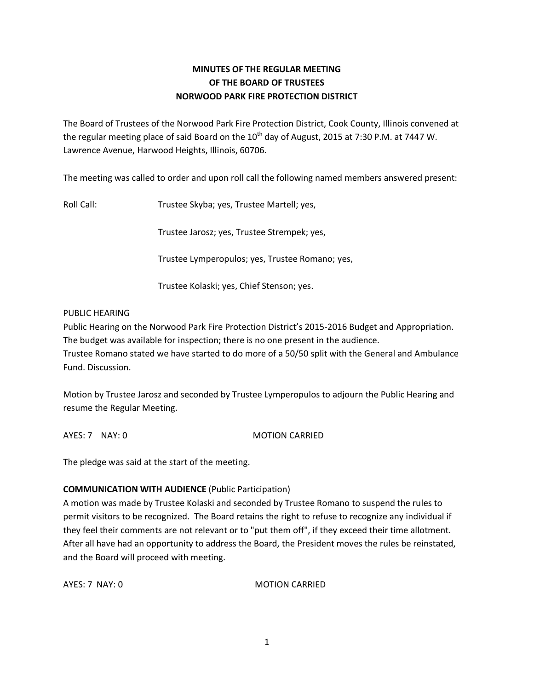## **MINUTES OF THE REGULAR MEETING OF THE BOARD OF TRUSTEES NORWOOD PARK FIRE PROTECTION DISTRICT**

The Board of Trustees of the Norwood Park Fire Protection District, Cook County, Illinois convened at the regular meeting place of said Board on the  $10^{th}$  day of August, 2015 at 7:30 P.M. at 7447 W. Lawrence Avenue, Harwood Heights, Illinois, 60706.

The meeting was called to order and upon roll call the following named members answered present:

Roll Call: Trustee Skyba; yes, Trustee Martell; yes,

Trustee Jarosz; yes, Trustee Strempek; yes,

Trustee Lymperopulos; yes, Trustee Romano; yes,

Trustee Kolaski; yes, Chief Stenson; yes.

### PUBLIC HEARING

Public Hearing on the Norwood Park Fire Protection District's 2015-2016 Budget and Appropriation. The budget was available for inspection; there is no one present in the audience.

Trustee Romano stated we have started to do more of a 50/50 split with the General and Ambulance Fund. Discussion.

Motion by Trustee Jarosz and seconded by Trustee Lymperopulos to adjourn the Public Hearing and resume the Regular Meeting.

AYES: 7 NAY: 0 MOTION CARRIED

The pledge was said at the start of the meeting.

### **COMMUNICATION WITH AUDIENCE** (Public Participation)

A motion was made by Trustee Kolaski and seconded by Trustee Romano to suspend the rules to permit visitors to be recognized. The Board retains the right to refuse to recognize any individual if they feel their comments are not relevant or to "put them off", if they exceed their time allotment. After all have had an opportunity to address the Board, the President moves the rules be reinstated, and the Board will proceed with meeting.

AYES: 7 NAY: 0 MOTION CARRIED

1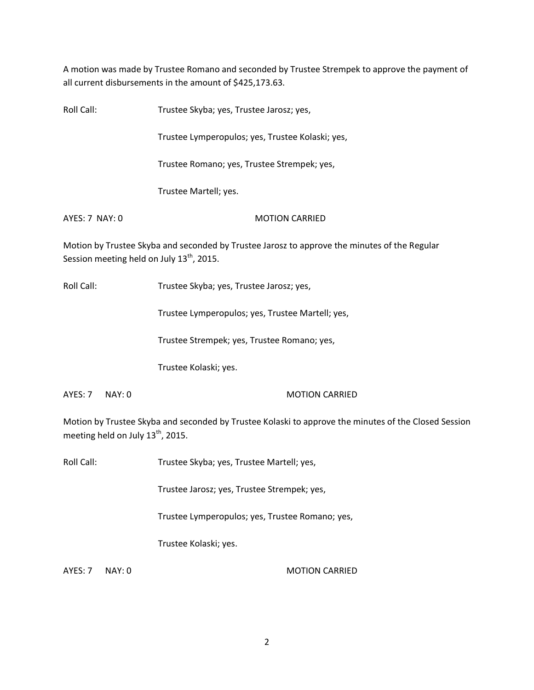A motion was made by Trustee Romano and seconded by Trustee Strempek to approve the payment of all current disbursements in the amount of \$425,173.63.

| Roll Call:                                            | Trustee Skyba; yes, Trustee Jarosz; yes,                                                     |
|-------------------------------------------------------|----------------------------------------------------------------------------------------------|
|                                                       | Trustee Lymperopulos; yes, Trustee Kolaski; yes,                                             |
|                                                       | Trustee Romano; yes, Trustee Strempek; yes,                                                  |
|                                                       | Trustee Martell; yes.                                                                        |
| AYES: 7 NAY: 0                                        | <b>MOTION CARRIED</b>                                                                        |
| Session meeting held on July 13 <sup>th</sup> , 2015. | Motion by Trustee Skyba and seconded by Trustee Jarosz to approve the minutes of the Regular |

Roll Call: Trustee Skyba; yes, Trustee Jarosz; yes,

Trustee Lymperopulos; yes, Trustee Martell; yes,

Trustee Strempek; yes, Trustee Romano; yes,

Trustee Kolaski; yes.

AYES: 7 NAY: 0 MOTION CARRIED

Motion by Trustee Skyba and seconded by Trustee Kolaski to approve the minutes of the Closed Session meeting held on July  $13^{th}$ , 2015.

Roll Call: Trustee Skyba; yes, Trustee Martell; yes,

Trustee Jarosz; yes, Trustee Strempek; yes,

Trustee Lymperopulos; yes, Trustee Romano; yes,

Trustee Kolaski; yes.

AYES: 7 NAY: 0 MOTION CARRIED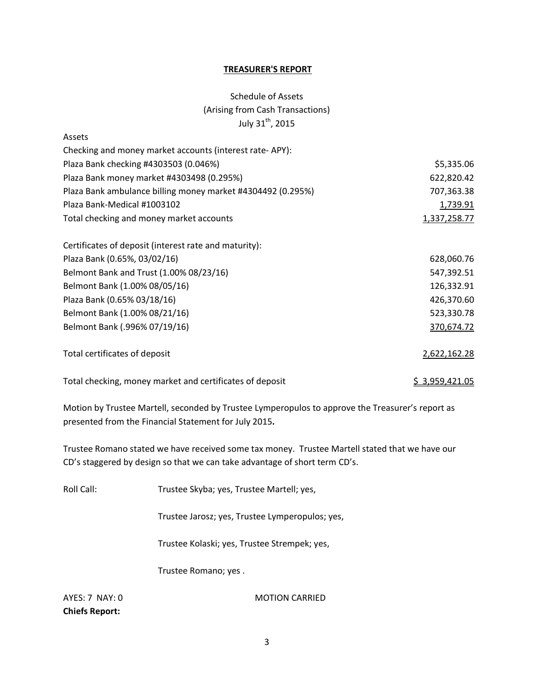#### **TREASURER'S REPORT**

# Schedule of Assets (Arising from Cash Transactions) July 31<sup>th</sup>, 2015

| Assets                                                      |                |
|-------------------------------------------------------------|----------------|
| Checking and money market accounts (interest rate-APY):     |                |
| Plaza Bank checking #4303503 (0.046%)                       | \$5,335.06     |
| Plaza Bank money market #4303498 (0.295%)                   | 622,820.42     |
| Plaza Bank ambulance billing money market #4304492 (0.295%) | 707,363.38     |
| Plaza Bank-Medical #1003102                                 | 1,739.91       |
| Total checking and money market accounts                    | 1,337,258.77   |
| Certificates of deposit (interest rate and maturity):       |                |
| Plaza Bank (0.65%, 03/02/16)                                | 628,060.76     |
| Belmont Bank and Trust (1.00% 08/23/16)                     | 547,392.51     |
| Belmont Bank (1.00% 08/05/16)                               | 126,332.91     |
| Plaza Bank (0.65% 03/18/16)                                 | 426,370.60     |
| Belmont Bank (1.00% 08/21/16)                               | 523,330.78     |
| Belmont Bank (.996% 07/19/16)                               | 370,674.72     |
| Total certificates of deposit                               | 2,622,162.28   |
| Total checking, money market and certificates of deposit    | \$3,959,421.05 |

Motion by Trustee Martell, seconded by Trustee Lymperopulos to approve the Treasurer's report as presented from the Financial Statement for July 2015**.** 

Trustee Romano stated we have received some tax money. Trustee Martell stated that we have our CD's staggered by design so that we can take advantage of short term CD's.

Roll Call: Trustee Skyba; yes, Trustee Martell; yes,

Trustee Jarosz; yes, Trustee Lymperopulos; yes,

Trustee Kolaski; yes, Trustee Strempek; yes,

Trustee Romano; yes .

**Chiefs Report:** 

AYES: 7 NAY: 0 MOTION CARRIED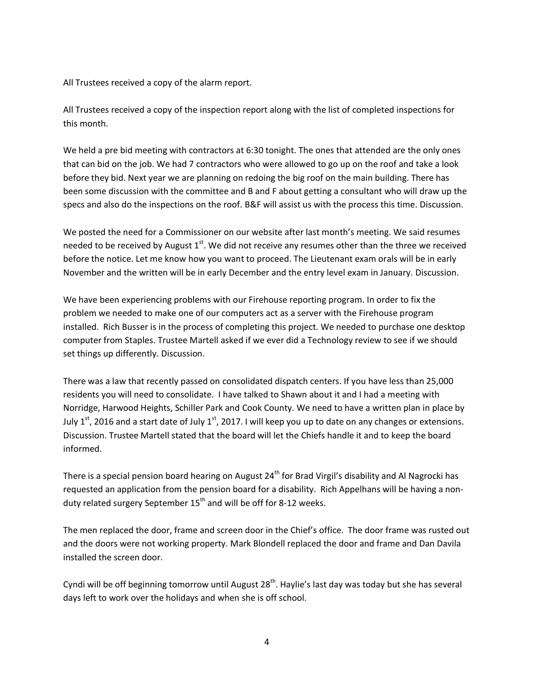All Trustees received a copy of the alarm report.

All Trustees received a copy of the inspection report along with the list of completed inspections for this month.

We held a pre bid meeting with contractors at 6:30 tonight. The ones that attended are the only ones that can bid on the job. We had 7 contractors who were allowed to go up on the roof and take a look before they bid. Next year we are planning on redoing the big roof on the main building. There has been some discussion with the committee and B and F about getting a consultant who will draw up the specs and also do the inspections on the roof. B&F will assist us with the process this time. Discussion.

We posted the need for a Commissioner on our website after last month's meeting. We said resumes needed to be received by August  $1<sup>st</sup>$ . We did not receive any resumes other than the three we received before the notice. Let me know how you want to proceed. The Lieutenant exam orals will be in early November and the written will be in early December and the entry level exam in January. Discussion.

We have been experiencing problems with our Firehouse reporting program. In order to fix the problem we needed to make one of our computers act as a server with the Firehouse program installed. Rich Busser is in the process of completing this project. We needed to purchase one desktop computer from Staples. Trustee Martell asked if we ever did a Technology review to see if we should set things up differently. Discussion.

There was a law that recently passed on consolidated dispatch centers. If you have less than 25,000 residents you will need to consolidate. I have talked to Shawn about it and I had a meeting with Norridge, Harwood Heights, Schiller Park and Cook County. We need to have a written plan in place by July 1<sup>st</sup>, 2016 and a start date of July 1<sup>st</sup>, 2017. I will keep you up to date on any changes or extensions. Discussion. Trustee Martell stated that the board will let the Chiefs handle it and to keep the board informed.

There is a special pension board hearing on August 24<sup>th</sup> for Brad Virgil's disability and Al Nagrocki has requested an application from the pension board for a disability. Rich Appelhans will be having a nonduty related surgery September  $15<sup>th</sup>$  and will be off for 8-12 weeks.

The men replaced the door, frame and screen door in the Chief's office. The door frame was rusted out and the doors were not working property. Mark Blondell replaced the door and frame and Dan Davila installed the screen door.

Cyndi will be off beginning tomorrow until August  $28<sup>th</sup>$ . Haylie's last day was today but she has several days left to work over the holidays and when she is off school.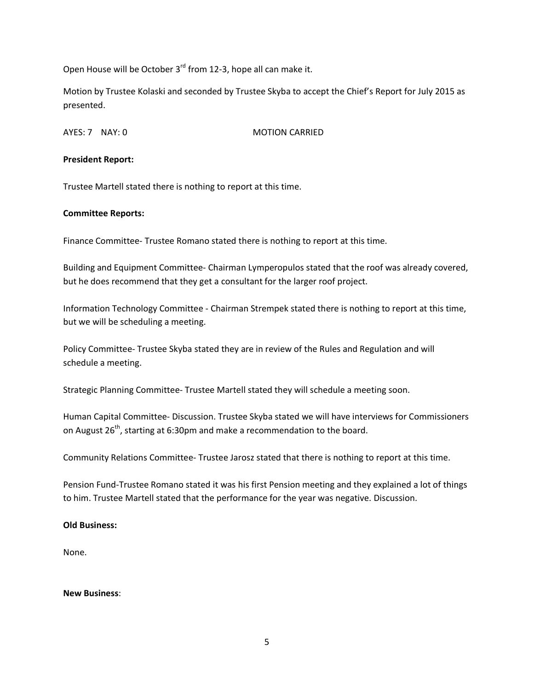Open House will be October 3<sup>rd</sup> from 12-3, hope all can make it.

Motion by Trustee Kolaski and seconded by Trustee Skyba to accept the Chief's Report for July 2015 as presented.

AYES: 7 NAY: 0 MOTION CARRIED

### **President Report:**

Trustee Martell stated there is nothing to report at this time.

### **Committee Reports:**

Finance Committee- Trustee Romano stated there is nothing to report at this time.

Building and Equipment Committee- Chairman Lymperopulos stated that the roof was already covered, but he does recommend that they get a consultant for the larger roof project.

Information Technology Committee - Chairman Strempek stated there is nothing to report at this time, but we will be scheduling a meeting.

Policy Committee- Trustee Skyba stated they are in review of the Rules and Regulation and will schedule a meeting.

Strategic Planning Committee- Trustee Martell stated they will schedule a meeting soon.

Human Capital Committee- Discussion. Trustee Skyba stated we will have interviews for Commissioners on August 26<sup>th</sup>, starting at 6:30pm and make a recommendation to the board.

Community Relations Committee- Trustee Jarosz stated that there is nothing to report at this time.

Pension Fund-Trustee Romano stated it was his first Pension meeting and they explained a lot of things to him. Trustee Martell stated that the performance for the year was negative. Discussion.

### **Old Business:**

None.

**New Business**: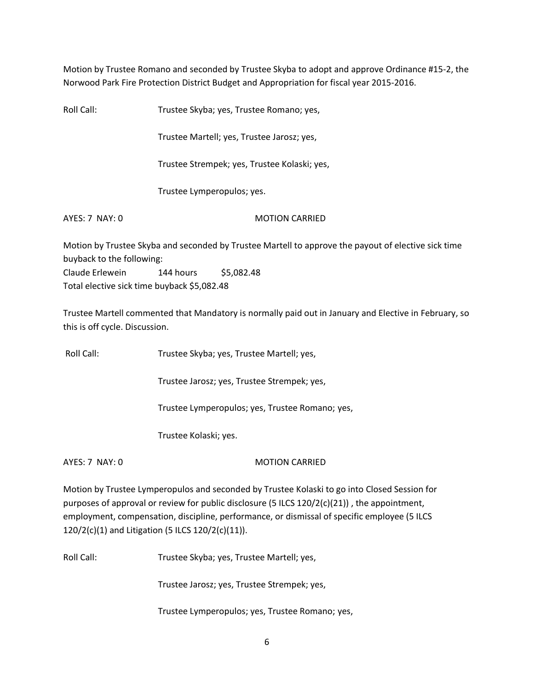Motion by Trustee Romano and seconded by Trustee Skyba to adopt and approve Ordinance #15-2, the Norwood Park Fire Protection District Budget and Appropriation for fiscal year 2015-2016.

Roll Call: Trustee Skyba; yes, Trustee Romano; yes, Trustee Martell; yes, Trustee Jarosz; yes, Trustee Strempek; yes, Trustee Kolaski; yes, Trustee Lymperopulos; yes. AYES: 7 NAY: 0 MOTION CARRIED Motion by Trustee Skyba and seconded by Trustee Martell to approve the payout of elective sick time buyback to the following: Claude Erlewein 144 hours \$5,082.48

Total elective sick time buyback \$5,082.48

Trustee Martell commented that Mandatory is normally paid out in January and Elective in February, so this is off cycle. Discussion.

Roll Call: Trustee Skyba; yes, Trustee Martell; yes,

Trustee Jarosz; yes, Trustee Strempek; yes,

Trustee Lymperopulos; yes, Trustee Romano; yes,

Trustee Kolaski; yes.

AYES: 7 NAY: 0 MOTION CARRIED

Motion by Trustee Lymperopulos and seconded by Trustee Kolaski to go into Closed Session for purposes of approval or review for public disclosure (5 ILCS  $120/2(c)(21)$ ), the appointment, employment, compensation, discipline, performance, or dismissal of specific employee (5 ILCS 120/2(c)(1) and Litigation (5 ILCS 120/2(c)(11)).

Roll Call: Trustee Skyba; yes, Trustee Martell; yes,

Trustee Jarosz; yes, Trustee Strempek; yes,

Trustee Lymperopulos; yes, Trustee Romano; yes,